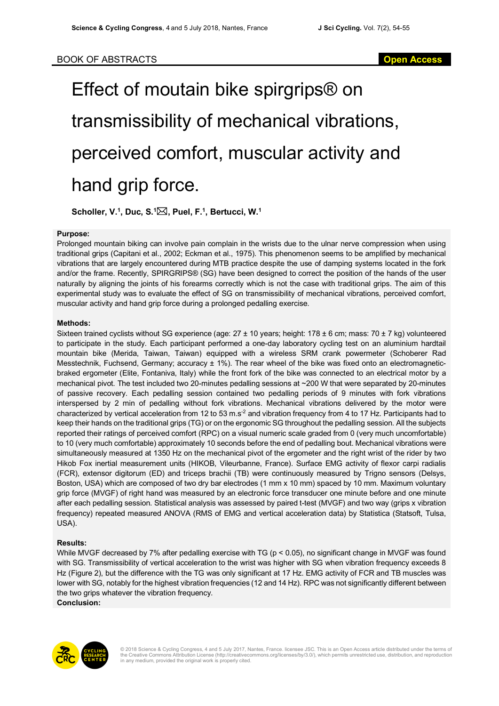# Effect of moutain bike spirgrips® on transmissibility of mechanical vibrations, perceived comfort, muscular activity and hand grip force.

**Scholler, V. 1 , Duc, S. 1** \***, Puel, F. 1 , Bertucci, W. 1**

### **Purpose:**

Prolonged mountain biking can involve pain complain in the wrists due to the ulnar nerve compression when using traditional grips (Capitani et al., 2002; Eckman et al., 1975). This phenomenon seems to be amplified by mechanical vibrations that are largely encountered during MTB practice despite the use of damping systems located in the fork and/or the frame. Recently, SPIRGRIPS® (SG) have been designed to correct the position of the hands of the user naturally by aligning the joints of his forearms correctly which is not the case with traditional grips. The aim of this experimental study was to evaluate the effect of SG on transmissibility of mechanical vibrations, perceived comfort, muscular activity and hand grip force during a prolonged pedalling exercise.

#### **Methods:**

Sixteen trained cyclists without SG experience (age: 27 ± 10 years; height: 178 ± 6 cm; mass: 70 ± 7 kg) volunteered to participate in the study. Each participant performed a one-day laboratory cycling test on an aluminium hardtail mountain bike (Merida, Taiwan, Taiwan) equipped with a wireless SRM crank powermeter (Schoberer Rad Messtechnik, Fuchsend, Germany; accuracy ± 1%). The rear wheel of the bike was fixed onto an electromagneticbraked ergometer (Elite, Fontaniva, Italy) while the front fork of the bike was connected to an electrical motor by a mechanical pivot. The test included two 20-minutes pedalling sessions at ~200 W that were separated by 20-minutes of passive recovery. Each pedalling session contained two pedalling periods of 9 minutes with fork vibrations interspersed by 2 min of pedalling without fork vibrations. Mechanical vibrations delivered by the motor were characterized by vertical acceleration from 12 to 53 m.s<sup>-2</sup> and vibration frequency from 4 to 17 Hz. Participants had to keep their hands on the traditional grips (TG) or on the ergonomic SG throughout the pedalling session. All the subjects reported their ratings of perceived comfort (RPC) on a visual numeric scale graded from 0 (very much uncomfortable) to 10 (very much comfortable) approximately 10 seconds before the end of pedalling bout. Mechanical vibrations were simultaneously measured at 1350 Hz on the mechanical pivot of the ergometer and the right wrist of the rider by two Hikob Fox inertial measurement units (HIKOB, Vileurbanne, France). Surface EMG activity of flexor carpi radialis (FCR), extensor digitorum (ED) and triceps brachii (TB) were continuously measured by Trigno sensors (Delsys, Boston, USA) which are composed of two dry bar electrodes (1 mm x 10 mm) spaced by 10 mm. Maximum voluntary grip force (MVGF) of right hand was measured by an electronic force transducer one minute before and one minute after each pedalling session. Statistical analysis was assessed by paired t-test (MVGF) and two way (grips x vibration frequency) repeated measured ANOVA (RMS of EMG and vertical acceleration data) by Statistica (Statsoft, Tulsa, USA).

### **Results:**

While MVGF decreased by 7% after pedalling exercise with TG ( $p < 0.05$ ), no significant change in MVGF was found with SG. Transmissibility of vertical acceleration to the wrist was higher with SG when vibration frequency exceeds 8 Hz (Figure 2), but the difference with the TG was only significant at 17 Hz. EMG activity of FCR and TB muscles was lower with SG, notably for the highest vibration frequencies (12 and 14 Hz). RPC was not significantly different between the two grips whatever the vibration frequency. **Conclusion:**